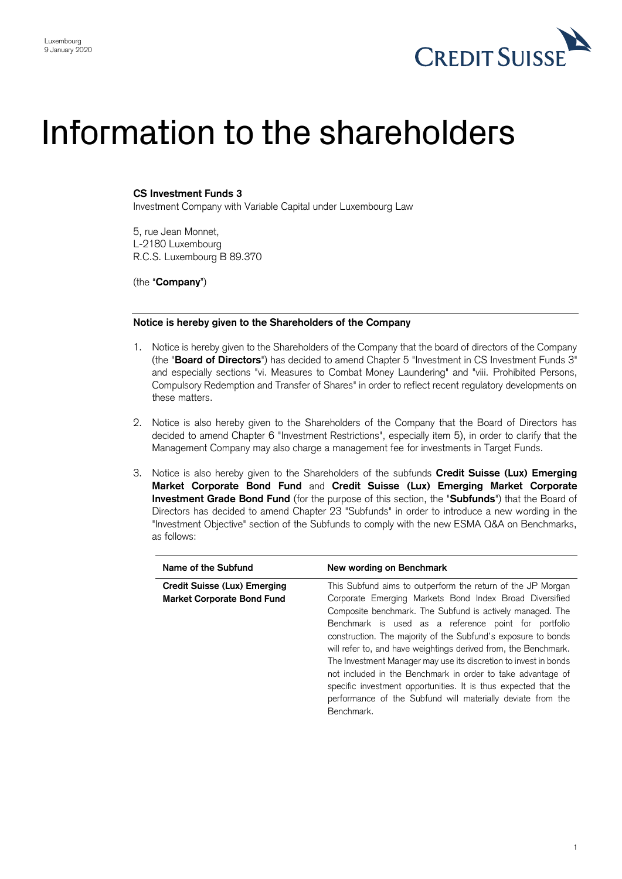

## Information to the shareholders

## **CS Investment Funds 3**

Investment Company with Variable Capital under Luxembourg Law

5, rue Jean Monnet, L-2180 Luxembourg R.C.S. Luxembourg B 89.370

(the "**Company**")

## **Notice is hereby given to the Shareholders of the Company**

- 1. Notice is hereby given to the Shareholders of the Company that the board of directors of the Company (the "**Board of Directors**") has decided to amend Chapter 5 "Investment in CS Investment Funds 3" and especially sections "vi. Measures to Combat Money Laundering" and "viii. Prohibited Persons, Compulsory Redemption and Transfer of Shares" in order to reflect recent regulatory developments on these matters.
- 2. Notice is also hereby given to the Shareholders of the Company that the Board of Directors has decided to amend Chapter 6 "Investment Restrictions", especially item 5), in order to clarify that the Management Company may also charge a management fee for investments in Target Funds.
- 3. Notice is also hereby given to the Shareholders of the subfunds **Credit Suisse (Lux) Emerging Market Corporate Bond Fund** and **Credit Suisse (Lux) Emerging Market Corporate Investment Grade Bond Fund** (for the purpose of this section, the "**Subfunds**") that the Board of Directors has decided to amend Chapter 23 "Subfunds" in order to introduce a new wording in the "Investment Objective" section of the Subfunds to comply with the new ESMA Q&A on Benchmarks, as follows:

| Name of the Subfund                                                      | New wording on Benchmark                                                                                                                                                                                                                                                                                                                                                                                                                                                                                                                                                                                                                                           |
|--------------------------------------------------------------------------|--------------------------------------------------------------------------------------------------------------------------------------------------------------------------------------------------------------------------------------------------------------------------------------------------------------------------------------------------------------------------------------------------------------------------------------------------------------------------------------------------------------------------------------------------------------------------------------------------------------------------------------------------------------------|
| <b>Credit Suisse (Lux) Emerging</b><br><b>Market Corporate Bond Fund</b> | This Subfund aims to outperform the return of the JP Morgan<br>Corporate Emerging Markets Bond Index Broad Diversified<br>Composite benchmark. The Subfund is actively managed. The<br>Benchmark is used as a reference point for portfolio<br>construction. The majority of the Subfund's exposure to bonds<br>will refer to, and have weightings derived from, the Benchmark.<br>The Investment Manager may use its discretion to invest in bonds<br>not included in the Benchmark in order to take advantage of<br>specific investment opportunities. It is thus expected that the<br>performance of the Subfund will materially deviate from the<br>Benchmark. |